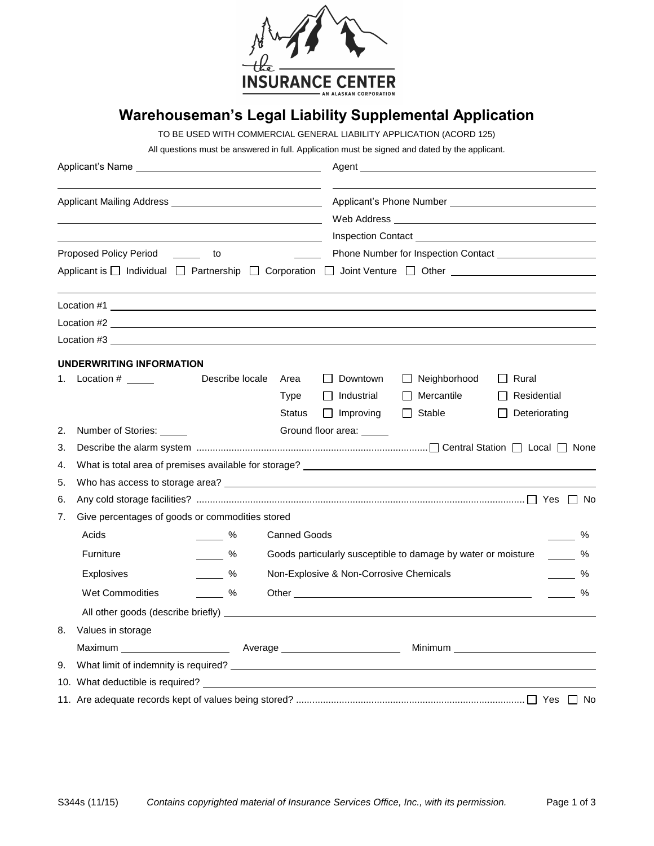

## **Warehouseman's Legal Liability Supplemental Application**

TO BE USED WITH COMMERCIAL GENERAL LIABILITY APPLICATION (ACORD 125)

All questions must be answered in full. Application must be signed and dated by the applicant.

| Applicant's Name experience and the state of the state of the state of the state of the state of the state of the state of the state of the state of the state of the state of the state of the state of the state of the stat<br>Applicant Mailing Address Applicant Mailing Address |                                                                                                                                                                                                                               |                 | Agent and the contract of the contract of the contract of the contract of the contract of the contract of the contract of the contract of the contract of the contract of the contract of the contract of the contract of the |                                                   |                                                               |                                                     |                                                                   |
|---------------------------------------------------------------------------------------------------------------------------------------------------------------------------------------------------------------------------------------------------------------------------------------|-------------------------------------------------------------------------------------------------------------------------------------------------------------------------------------------------------------------------------|-----------------|-------------------------------------------------------------------------------------------------------------------------------------------------------------------------------------------------------------------------------|---------------------------------------------------|---------------------------------------------------------------|-----------------------------------------------------|-------------------------------------------------------------------|
|                                                                                                                                                                                                                                                                                       |                                                                                                                                                                                                                               |                 |                                                                                                                                                                                                                               |                                                   |                                                               |                                                     | Proposed Policy Period<br><u>to</u><br>$\mathcal{L}_{\text{max}}$ |
|                                                                                                                                                                                                                                                                                       | Applicant is $\Box$ Individual $\Box$ Partnership $\Box$ Corporation $\Box$ Joint Venture $\Box$ Other                                                                                                                        |                 |                                                                                                                                                                                                                               |                                                   |                                                               |                                                     |                                                                   |
|                                                                                                                                                                                                                                                                                       |                                                                                                                                                                                                                               |                 |                                                                                                                                                                                                                               |                                                   |                                                               |                                                     |                                                                   |
|                                                                                                                                                                                                                                                                                       | Location #2                                                                                                                                                                                                                   |                 |                                                                                                                                                                                                                               |                                                   |                                                               |                                                     |                                                                   |
|                                                                                                                                                                                                                                                                                       | Location #3 and #3 and #3 and #3 and #3 and #4 and #4 and #4 and #4 and #4 and #4 and #4 and #4 and #4 and #4 and #4 and #4 and #4 and #4 and #4 and #4 and #4 and #4 and #4 and #4 and #4 and #4 and #4 and #4 and #4 and #4 |                 |                                                                                                                                                                                                                               |                                                   |                                                               |                                                     |                                                                   |
|                                                                                                                                                                                                                                                                                       | <b>UNDERWRITING INFORMATION</b>                                                                                                                                                                                               |                 |                                                                                                                                                                                                                               |                                                   |                                                               |                                                     |                                                                   |
| 1.                                                                                                                                                                                                                                                                                    |                                                                                                                                                                                                                               | Describe locale | Area<br>Type<br><b>Status</b>                                                                                                                                                                                                 | Downtown<br>$\Box$ Industrial<br>$\Box$ Improving | $\Box$ Neighborhood<br>$\Box$ Mercantile<br>$\Box$ Stable     | $\Box$ Rural<br>$\Box$ Residential<br>Deteriorating |                                                                   |
| 2.                                                                                                                                                                                                                                                                                    | Number of Stories:                                                                                                                                                                                                            |                 |                                                                                                                                                                                                                               | Ground floor area: _____                          |                                                               |                                                     |                                                                   |
| 3.                                                                                                                                                                                                                                                                                    |                                                                                                                                                                                                                               |                 |                                                                                                                                                                                                                               |                                                   |                                                               |                                                     |                                                                   |
| 4.                                                                                                                                                                                                                                                                                    |                                                                                                                                                                                                                               |                 |                                                                                                                                                                                                                               |                                                   |                                                               |                                                     |                                                                   |
| 5.                                                                                                                                                                                                                                                                                    |                                                                                                                                                                                                                               |                 |                                                                                                                                                                                                                               |                                                   |                                                               |                                                     |                                                                   |
| 6.                                                                                                                                                                                                                                                                                    |                                                                                                                                                                                                                               |                 |                                                                                                                                                                                                                               |                                                   |                                                               |                                                     |                                                                   |
| 7.                                                                                                                                                                                                                                                                                    | Give percentages of goods or commodities stored                                                                                                                                                                               |                 |                                                                                                                                                                                                                               |                                                   |                                                               |                                                     |                                                                   |
|                                                                                                                                                                                                                                                                                       | Acids                                                                                                                                                                                                                         | $\sim$ %        | <b>Canned Goods</b>                                                                                                                                                                                                           |                                                   |                                                               |                                                     | %                                                                 |
|                                                                                                                                                                                                                                                                                       | Furniture                                                                                                                                                                                                                     | $\frac{9}{6}$   |                                                                                                                                                                                                                               |                                                   | Goods particularly susceptible to damage by water or moisture |                                                     | $\frac{1}{2}$<br>%                                                |
|                                                                                                                                                                                                                                                                                       | Explosives                                                                                                                                                                                                                    | $\sim$ %        |                                                                                                                                                                                                                               | Non-Explosive & Non-Corrosive Chemicals           |                                                               |                                                     | %                                                                 |
|                                                                                                                                                                                                                                                                                       | Wet Commodities                                                                                                                                                                                                               | $\sim$ %        |                                                                                                                                                                                                                               |                                                   |                                                               |                                                     | $\%$                                                              |
|                                                                                                                                                                                                                                                                                       |                                                                                                                                                                                                                               |                 |                                                                                                                                                                                                                               |                                                   |                                                               |                                                     |                                                                   |
| 8.                                                                                                                                                                                                                                                                                    | Values in storage                                                                                                                                                                                                             |                 |                                                                                                                                                                                                                               |                                                   |                                                               |                                                     |                                                                   |
|                                                                                                                                                                                                                                                                                       |                                                                                                                                                                                                                               |                 |                                                                                                                                                                                                                               |                                                   |                                                               |                                                     |                                                                   |
| 9.                                                                                                                                                                                                                                                                                    |                                                                                                                                                                                                                               |                 |                                                                                                                                                                                                                               |                                                   |                                                               |                                                     |                                                                   |
|                                                                                                                                                                                                                                                                                       |                                                                                                                                                                                                                               |                 |                                                                                                                                                                                                                               |                                                   |                                                               |                                                     |                                                                   |
|                                                                                                                                                                                                                                                                                       |                                                                                                                                                                                                                               |                 |                                                                                                                                                                                                                               |                                                   |                                                               |                                                     |                                                                   |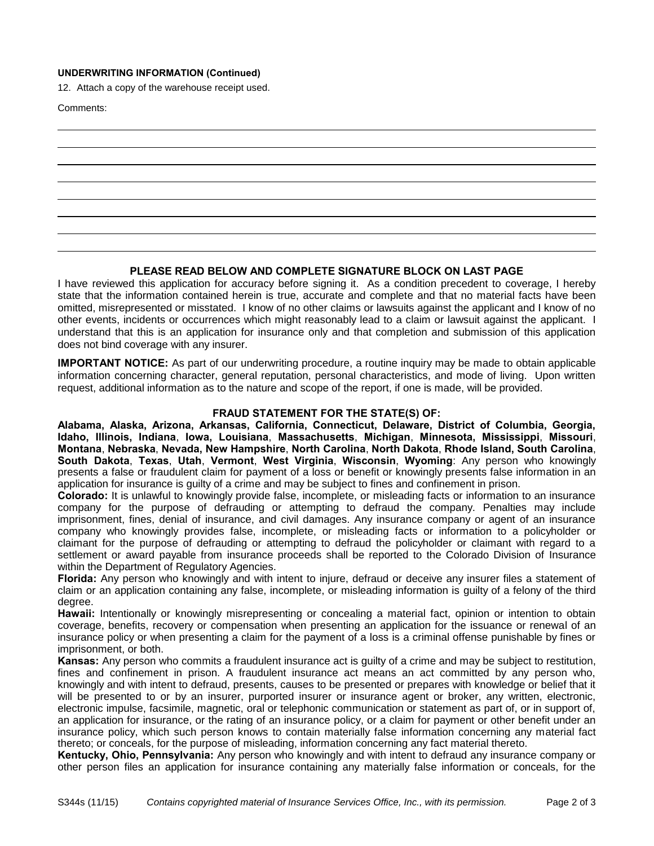## **UNDERWRITING INFORMATION (Continued)**

12. Attach a copy of the warehouse receipt used.

Comments:

## **PLEASE READ BELOW AND COMPLETE SIGNATURE BLOCK ON LAST PAGE**

I have reviewed this application for accuracy before signing it. As a condition precedent to coverage, I hereby state that the information contained herein is true, accurate and complete and that no material facts have been omitted, misrepresented or misstated. I know of no other claims or lawsuits against the applicant and I know of no other events, incidents or occurrences which might reasonably lead to a claim or lawsuit against the applicant. I understand that this is an application for insurance only and that completion and submission of this application does not bind coverage with any insurer.

**IMPORTANT NOTICE:** As part of our underwriting procedure, a routine inquiry may be made to obtain applicable information concerning character, general reputation, personal characteristics, and mode of living. Upon written request, additional information as to the nature and scope of the report, if one is made, will be provided.

## **FRAUD STATEMENT FOR THE STATE(S) OF:**

**Alabama, Alaska, Arizona, Arkansas, California, Connecticut, Delaware, District of Columbia, Georgia, Idaho, Illinois, Indiana**, **Iowa, Louisiana**, **Massachusetts**, **Michigan**, **Minnesota, Mississippi**, **Missouri**, **Montana**, **Nebraska**, **Nevada, New Hampshire**, **North Carolina**, **North Dakota**, **Rhode Island, South Carolina**, **South Dakota**, **Texas**, **Utah**, **Vermont**, **West Virginia**, **Wisconsin**, **Wyoming**: Any person who knowingly presents a false or fraudulent claim for payment of a loss or benefit or knowingly presents false information in an application for insurance is guilty of a crime and may be subject to fines and confinement in prison.

**Colorado:** It is unlawful to knowingly provide false, incomplete, or misleading facts or information to an insurance company for the purpose of defrauding or attempting to defraud the company. Penalties may include imprisonment, fines, denial of insurance, and civil damages. Any insurance company or agent of an insurance company who knowingly provides false, incomplete, or misleading facts or information to a policyholder or claimant for the purpose of defrauding or attempting to defraud the policyholder or claimant with regard to a settlement or award payable from insurance proceeds shall be reported to the Colorado Division of Insurance within the Department of Regulatory Agencies.

**Florida:** Any person who knowingly and with intent to injure, defraud or deceive any insurer files a statement of claim or an application containing any false, incomplete, or misleading information is guilty of a felony of the third degree.

**Hawaii:** Intentionally or knowingly misrepresenting or concealing a material fact, opinion or intention to obtain coverage, benefits, recovery or compensation when presenting an application for the issuance or renewal of an insurance policy or when presenting a claim for the payment of a loss is a criminal offense punishable by fines or imprisonment, or both.

**Kansas:** Any person who commits a fraudulent insurance act is guilty of a crime and may be subject to restitution, fines and confinement in prison. A fraudulent insurance act means an act committed by any person who, knowingly and with intent to defraud, presents, causes to be presented or prepares with knowledge or belief that it will be presented to or by an insurer, purported insurer or insurance agent or broker, any written, electronic, electronic impulse, facsimile, magnetic, oral or telephonic communication or statement as part of, or in support of, an application for insurance, or the rating of an insurance policy, or a claim for payment or other benefit under an insurance policy, which such person knows to contain materially false information concerning any material fact thereto; or conceals, for the purpose of misleading, information concerning any fact material thereto.

**Kentucky, Ohio, Pennsylvania:** Any person who knowingly and with intent to defraud any insurance company or other person files an application for insurance containing any materially false information or conceals, for the